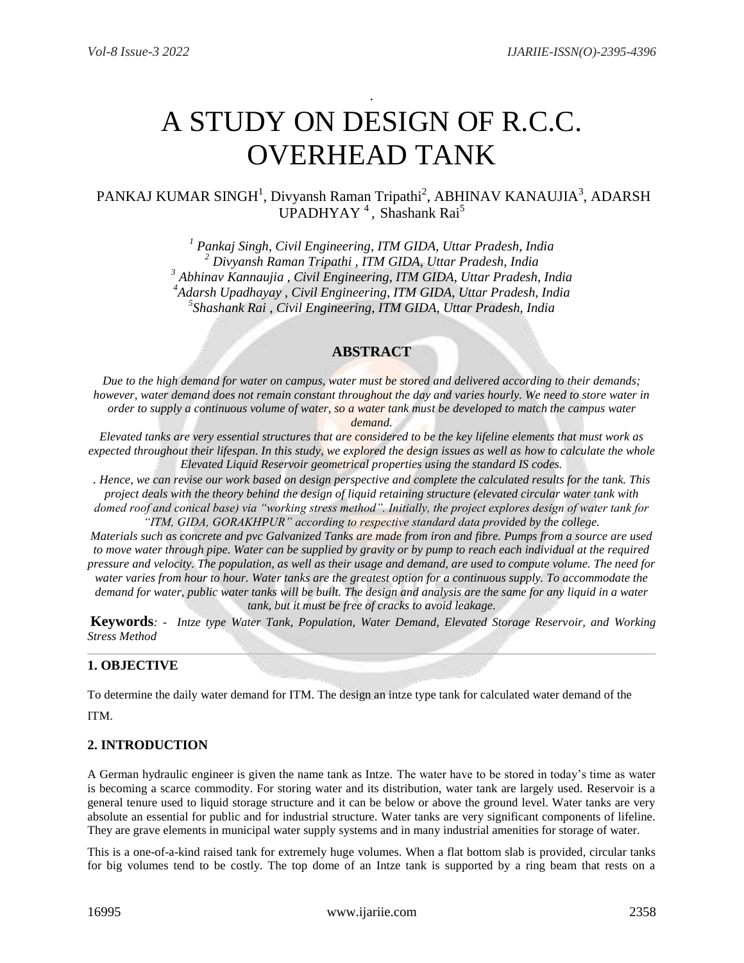# A STUDY ON DESIGN OF R.C.C. OVERHEAD TANK

.

# PANKAJ KUMAR SINGH<sup>1</sup>, Divyansh Raman Tripathi<sup>2</sup>, ABHINAV KANAUJIA<sup>3</sup>, ADARSH UPADHYAY<sup>4</sup>, Shashank Rai<sup>5</sup>

 *Pankaj Singh, Civil Engineering, ITM GIDA, Uttar Pradesh, India Divyansh Raman Tripathi , ITM GIDA, Uttar Pradesh, India Abhinav Kannaujia , Civil Engineering, ITM GIDA, Uttar Pradesh, India Adarsh Upadhayay , Civil Engineering, ITM GIDA, Uttar Pradesh, India Shashank Rai , Civil Engineering, ITM GIDA, Uttar Pradesh, India*

# **ABSTRACT**

*Due to the high demand for water on campus, water must be stored and delivered according to their demands; however, water demand does not remain constant throughout the day and varies hourly. We need to store water in order to supply a continuous volume of water, so a water tank must be developed to match the campus water* 

*demand.*

*Elevated tanks are very essential structures that are considered to be the key lifeline elements that must work as expected throughout their lifespan. In this study, we explored the design issues as well as how to calculate the whole Elevated Liquid Reservoir geometrical properties using the standard IS codes.*

. *Hence, we can revise our work based on design perspective and complete the calculated results for the tank. This project deals with the theory behind the design of liquid retaining structure (elevated circular water tank with domed roof and conical base) via "working stress method". Initially, the project explores design of water tank for "ITM, GIDA, GORAKHPUR" according to respective standard data provided by the college.*

*Materials such as concrete and pvc Galvanized Tanks are made from iron and fibre. Pumps from a source are used to move water through pipe. Water can be supplied by gravity or by pump to reach each individual at the required pressure and velocity. The population, as well as their usage and demand, are used to compute volume. The need for water varies from hour to hour. Water tanks are the greatest option for a continuous supply. To accommodate the demand for water, public water tanks will be built. The design and analysis are the same for any liquid in a water tank, but it must be free of cracks to avoid leakage.*

**Keywords***: - Intze type Water Tank, Population, Water Demand, Elevated Storage Reservoir, and Working Stress Method*

# **1. OBJECTIVE**

To determine the daily water demand for ITM. The design an intze type tank for calculated water demand of the

ITM.

#### **2. INTRODUCTION**

A German hydraulic engineer is given the name tank as Intze. The water have to be stored in today's time as water is becoming a scarce commodity. For storing water and its distribution, water tank are largely used. Reservoir is a general tenure used to liquid storage structure and it can be below or above the ground level. Water tanks are very absolute an essential for public and for industrial structure. Water tanks are very significant components of lifeline. They are grave elements in municipal water supply systems and in many industrial amenities for storage of water.

This is a one-of-a-kind raised tank for extremely huge volumes. When a flat bottom slab is provided, circular tanks for big volumes tend to be costly. The top dome of an Intze tank is supported by a ring beam that rests on a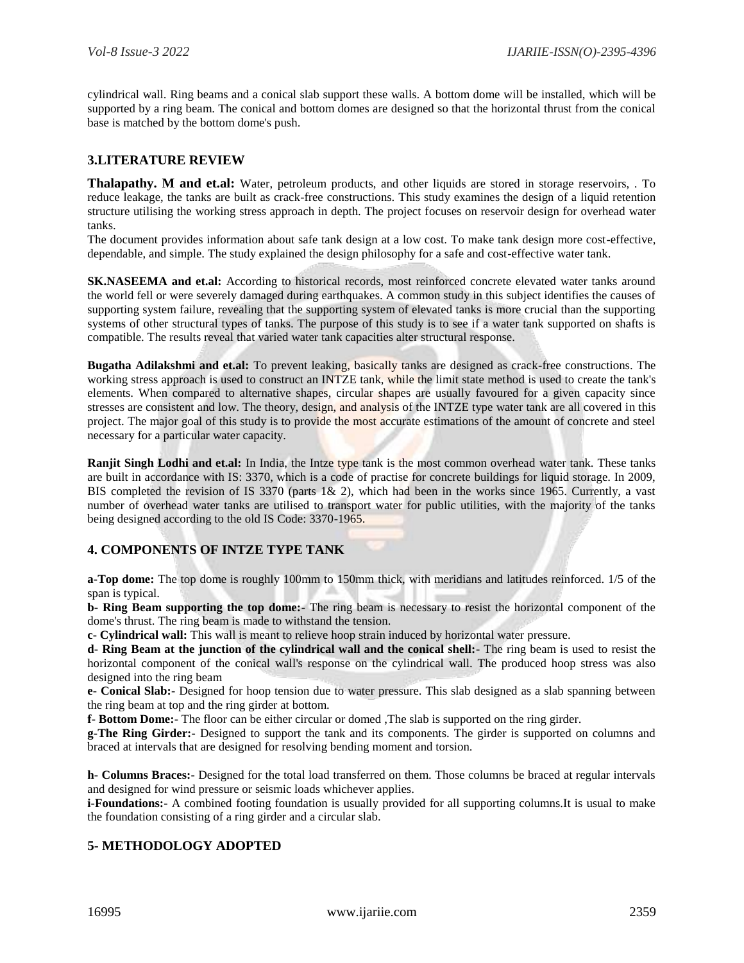cylindrical wall. Ring beams and a conical slab support these walls. A bottom dome will be installed, which will be supported by a ring beam. The conical and bottom domes are designed so that the horizontal thrust from the conical base is matched by the bottom dome's push.

# **3.LITERATURE REVIEW**

**Thalapathy. M and et.al:** Water, petroleum products, and other liquids are stored in storage reservoirs, . To reduce leakage, the tanks are built as crack-free constructions. This study examines the design of a liquid retention structure utilising the working stress approach in depth. The project focuses on reservoir design for overhead water tanks.

The document provides information about safe tank design at a low cost. To make tank design more cost-effective, dependable, and simple. The study explained the design philosophy for a safe and cost-effective water tank.

**SK.NASEEMA and et.al:** According to historical records, most reinforced concrete elevated water tanks around the world fell or were severely damaged during earthquakes. A common study in this subject identifies the causes of supporting system failure, revealing that the supporting system of elevated tanks is more crucial than the supporting systems of other structural types of tanks. The purpose of this study is to see if a water tank supported on shafts is compatible. The results reveal that varied water tank capacities alter structural response.

**Bugatha Adilakshmi and et.al:** To prevent leaking, basically tanks are designed as crack-free constructions. The working stress approach is used to construct an INTZE tank, while the limit state method is used to create the tank's elements. When compared to alternative shapes, circular shapes are usually favoured for a given capacity since stresses are consistent and low. The theory, design, and analysis of the INTZE type water tank are all covered in this project. The major goal of this study is to provide the most accurate estimations of the amount of concrete and steel necessary for a particular water capacity.

**Ranjit Singh Lodhi and et.al:** In India, the Intze type tank is the most common overhead water tank. These tanks are built in accordance with IS: 3370, which is a code of practise for concrete buildings for liquid storage. In 2009, BIS completed the revision of IS 3370 (parts 1& 2), which had been in the works since 1965. Currently, a vast number of overhead water tanks are utilised to transport water for public utilities, with the majority of the tanks being designed according to the old IS Code: 3370-1965.

# **4. COMPONENTS OF INTZE TYPE TANK**

**a-Top dome:** The top dome is roughly 100mm to 150mm thick, with meridians and latitudes reinforced. 1/5 of the span is typical.

**b- Ring Beam supporting the top dome:**- The ring beam is necessary to resist the horizontal component of the dome's thrust. The ring beam is made to withstand the tension.

**c- Cylindrical wall:** This wall is meant to relieve hoop strain induced by horizontal water pressure.

**d- Ring Beam at the junction of the cylindrical wall and the conical shell:-** The ring beam is used to resist the horizontal component of the conical wall's response on the cylindrical wall. The produced hoop stress was also designed into the ring beam

**e- Conical Slab:-** Designed for hoop tension due to water pressure. This slab designed as a slab spanning between the ring beam at top and the ring girder at bottom.

**f- Bottom Dome:-** The floor can be either circular or domed ,The slab is supported on the ring girder.

**g-The Ring Girder:-** Designed to support the tank and its components. The girder is supported on columns and braced at intervals that are designed for resolving bending moment and torsion.

**h- Columns Braces:-** Designed for the total load transferred on them. Those columns be braced at regular intervals and designed for wind pressure or seismic loads whichever applies.

**i-Foundations:-** A combined footing foundation is usually provided for all supporting columns.It is usual to make the foundation consisting of a ring girder and a circular slab.

# **5- METHODOLOGY ADOPTED**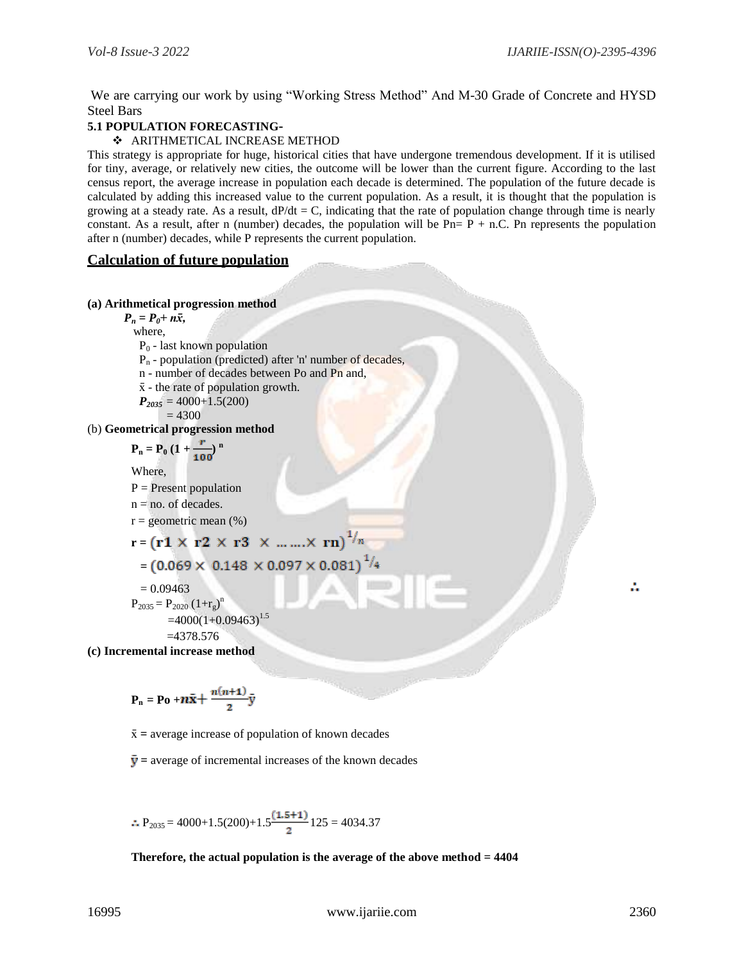We are carrying our work by using "Working Stress Method" And M-30 Grade of Concrete and HYSD Steel Bars

# **5.1 POPULATION FORECASTING-**

#### ARITHMETICAL INCREASE METHOD

This strategy is appropriate for huge, historical cities that have undergone tremendous development. If it is utilised for tiny, average, or relatively new cities, the outcome will be lower than the current figure. According to the last census report, the average increase in population each decade is determined. The population of the future decade is calculated by adding this increased value to the current population. As a result, it is thought that the population is growing at a steady rate. As a result,  $dP/dt = C$ , indicating that the rate of population change through time is nearly constant. As a result, after n (number) decades, the population will be  $Pn = P + n.C$ . Pn represents the population after n (number) decades, while P represents the current population.

## **Calculation of future population**

#### **(a) Arithmetical progression method**

 $P_n = P_0 + n\bar{x}$ , where,

- $P_0$  last known population
- P<sup>n</sup> population (predicted) after 'n' number of decades,
- n number of decades between Po and Pn and,
- $\bar{x}$  the rate of population growth.
- $P_{2035} = 4000+1.5(200)$

$$
=4300
$$

(b) **Geometrical progression method**

$$
P_n = P_0 (1 + \frac{r}{100})^n
$$

Where,

 $P =$  Present population

$$
n = no. of decades.
$$

 $r =$  geometric mean  $(\%)$ 

$$
\mathbf{r} = (\mathbf{r1} \times \mathbf{r2} \times \mathbf{r3} \times \dots \dots \times \mathbf{rn})^{\frac{1}{n}}
$$

```
^{1}/_{4}=(0.069 \times 0.148 \times 0.097 \times 0.081)
```
 $= 0.09463$ 

$$
P_{2035} = P_{2020} (1 + r_g)^n
$$

 $=4000(1+0.09463)^{1.5}$ 

 $=4378.576$ 

**(c) Incremental increase method**

$$
P_n = Po + n\bar{x} + \frac{n(n+1)}{2}\bar{y}
$$

 $\bar{x}$  = average increase of population of known decades

 $\bar{v}$  = average of incremental increases of the known decades

 $\therefore$  P<sub>2035</sub> = 4000+1.5(200)+1.5<sup>(1.5+1)</sup> 125 = 4034.37

#### **Therefore, the actual population is the average of the above method = 4404**

÷.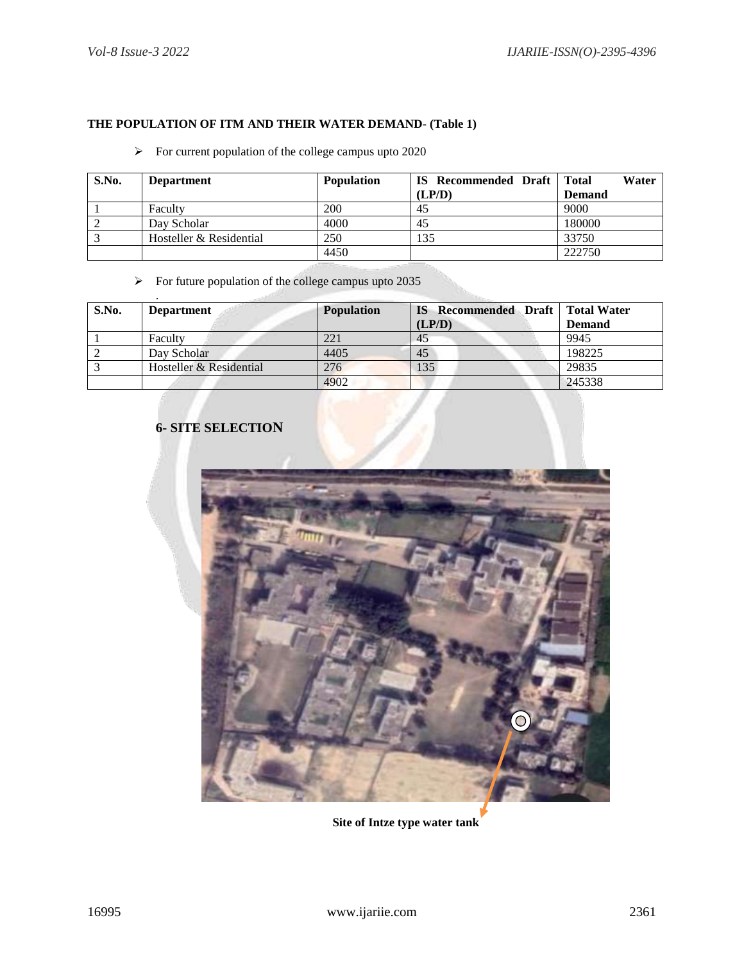# **THE POPULATION OF ITM AND THEIR WATER DEMAND- (Table 1)**

# $\triangleright$  For current population of the college campus upto 2020

| S.No. | <b>Department</b>       | <b>Population</b> | <b>IS</b> Recommended Draft | Water<br><b>Total</b> |
|-------|-------------------------|-------------------|-----------------------------|-----------------------|
|       |                         |                   | (LP/D)                      | <b>Demand</b>         |
|       | Faculty                 | 200               | 45                          | 9000                  |
|       | Day Scholar             | 4000              | 45                          | 180000                |
|       | Hosteller & Residential | 250               | 135                         | 33750                 |
|       |                         | 4450              |                             | 222750                |

# $\triangleright$  For future population of the college campus upto 2035

| S.No. | <b>Department</b>       | <b>Population</b> | <b>IS</b> Recommended Draft   Total Water<br>(LP/D) | <b>Demand</b> |
|-------|-------------------------|-------------------|-----------------------------------------------------|---------------|
|       | Faculty                 | 221               | 45                                                  | 9945          |
|       | Day Scholar             | 4405              | 45                                                  | 198225        |
|       | Hosteller & Residential | 276               | 135                                                 | 29835         |
|       |                         | 4902              |                                                     | 245338        |

# **6- SITE SELECTION**



**Site of Intze type water tank**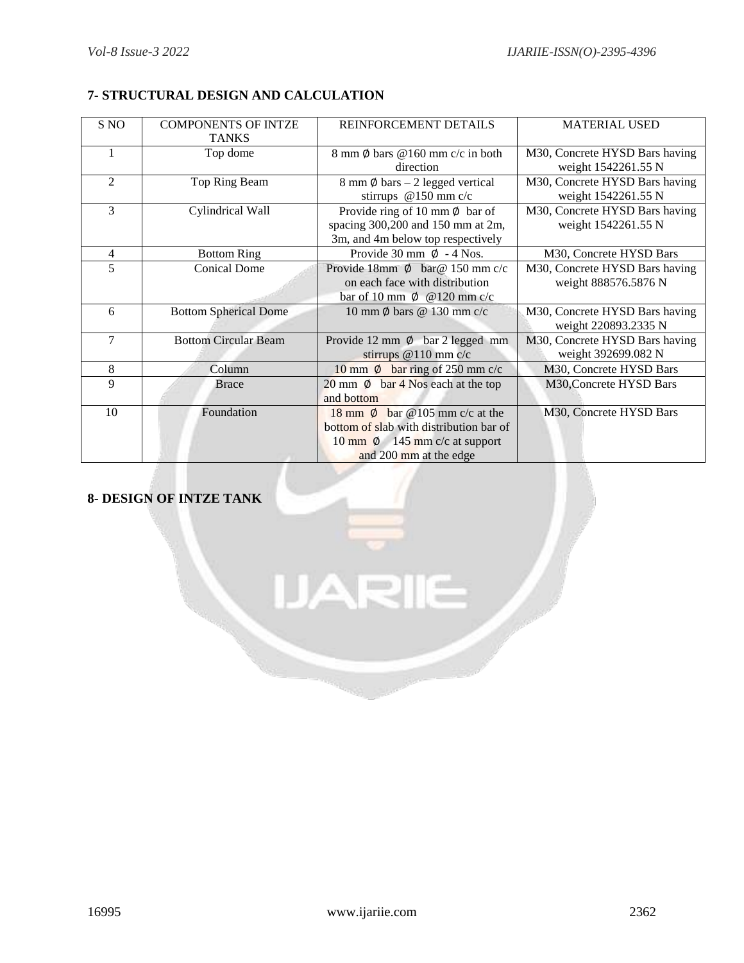# **7- STRUCTURAL DESIGN AND CALCULATION**

| S NO           | <b>COMPONENTS OF INTZE</b>   | REINFORCEMENT DETAILS                       | <b>MATERIAL USED</b>           |
|----------------|------------------------------|---------------------------------------------|--------------------------------|
|                | <b>TANKS</b>                 |                                             |                                |
|                | Top dome                     | 8 mm $\emptyset$ bars $@160$ mm c/c in both | M30, Concrete HYSD Bars having |
|                |                              | direction                                   | weight 1542261.55 N            |
| $\overline{2}$ | Top Ring Beam                | 8 mm $\emptyset$ bars - 2 legged vertical   | M30, Concrete HYSD Bars having |
|                |                              | stirrups $@150$ mm c/c                      | weight 1542261.55 N            |
| 3              | Cylindrical Wall             | Provide ring of 10 mm $\phi$ bar of         | M30, Concrete HYSD Bars having |
|                |                              | spacing 300,200 and 150 mm at 2m,           | weight 1542261.55 N            |
|                |                              | 3m, and 4m below top respectively           |                                |
| 4              | <b>Bottom Ring</b>           | Provide 30 mm $\emptyset$ - 4 Nos.          | M30, Concrete HYSD Bars        |
| 5              | <b>Conical Dome</b>          | Provide 18mm $\phi$ bar @ 150 mm c/c        | M30, Concrete HYSD Bars having |
|                |                              | on each face with distribution              | weight 888576.5876 N           |
|                |                              | bar of 10 mm $\emptyset$ @ 120 mm c/c       |                                |
| 6              | <b>Bottom Spherical Dome</b> | 10 mm $\phi$ bars $\omega$ 130 mm c/c       | M30, Concrete HYSD Bars having |
|                |                              |                                             | weight 220893.2335 N           |
| 7              | <b>Bottom Circular Beam</b>  | Provide 12 mm $\emptyset$ bar 2 legged mm   | M30, Concrete HYSD Bars having |
|                |                              | stirrups $@110$ mm c/c                      | weight 392699.082 N            |
| 8              | Column                       | 10 mm $\emptyset$ bar ring of 250 mm c/c    | M30, Concrete HYSD Bars        |
| 9              | <b>Brace</b>                 | 20 mm $\emptyset$ bar 4 Nos each at the top | M30, Concrete HYSD Bars        |
|                |                              | and bottom                                  |                                |
| 10             | Foundation                   | 18 mm $\phi$ bar @ 105 mm c/c at the        | M30, Concrete HYSD Bars        |
|                |                              | bottom of slab with distribution bar of     |                                |
|                |                              | 10 mm $\phi$ 145 mm c/c at support          |                                |
|                |                              | and 200 mm at the edge                      |                                |

# **8- DESIGN OF INTZE TANK**

**JARIIE**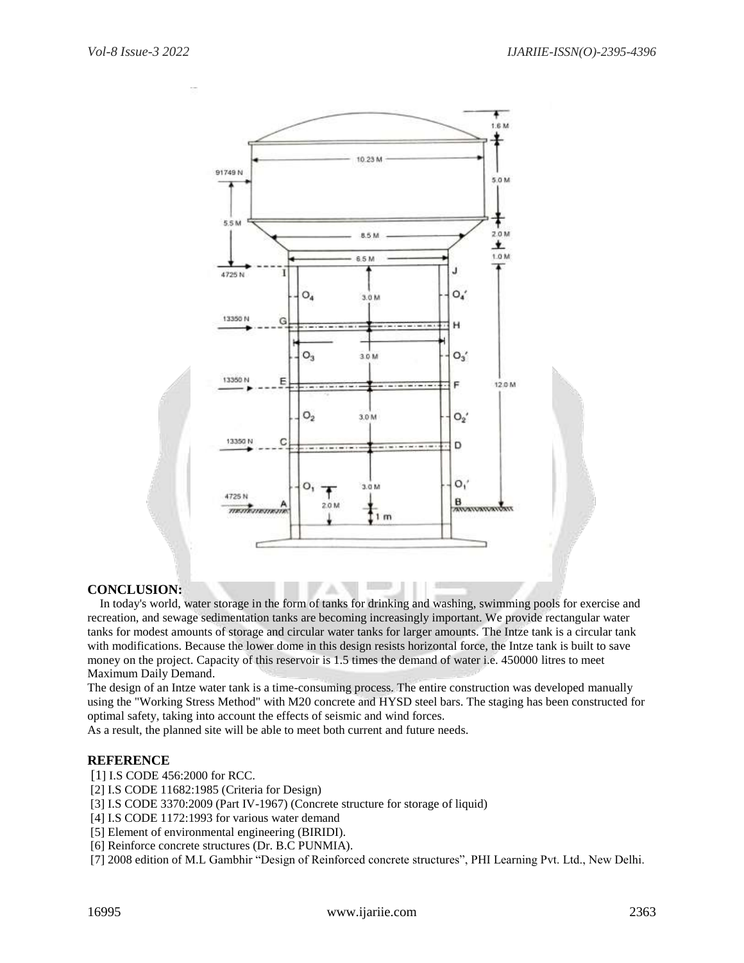

# **CONCLUSION:**

 In today's world, water storage in the form of tanks for drinking and washing, swimming pools for exercise and recreation, and sewage sedimentation tanks are becoming increasingly important. We provide rectangular water tanks for modest amounts of storage and circular water tanks for larger amounts. The Intze tank is a circular tank with modifications. Because the lower dome in this design resists horizontal force, the Intze tank is built to save money on the project. Capacity of this reservoir is 1.5 times the demand of water i.e. 450000 litres to meet Maximum Daily Demand.

The design of an Intze water tank is a time-consuming process. The entire construction was developed manually using the "Working Stress Method" with M20 concrete and HYSD steel bars. The staging has been constructed for optimal safety, taking into account the effects of seismic and wind forces.

As a result, the planned site will be able to meet both current and future needs.

#### **REFERENCE**

[1] I.S CODE 456:2000 for RCC.

[2] I.S CODE 11682:1985 (Criteria for Design)

[3] I.S CODE 3370:2009 (Part IV-1967) (Concrete structure for storage of liquid)

[4] I.S CODE 1172:1993 for various water demand

[5] Element of environmental engineering (BIRIDI).

[6] Reinforce concrete structures (Dr. B.C PUNMIA).

[7] 2008 edition of M.L Gambhir "Design of Reinforced concrete structures", PHI Learning Pvt. Ltd., New Delhi.